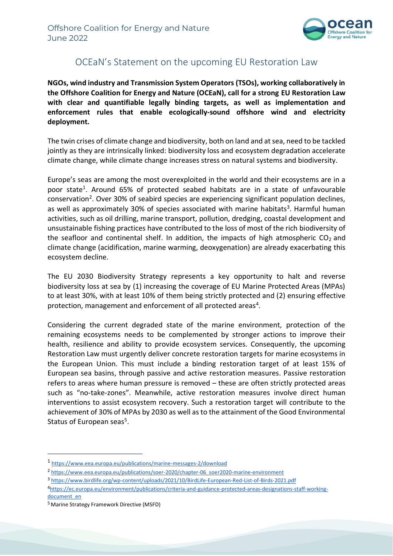

## OCEaN's Statement on the upcoming EU Restoration Law

**NGOs, wind industry and Transmission System Operators (TSOs), working collaboratively in the Offshore Coalition for Energy and Nature (OCEaN), call for a strong EU Restoration Law with clear and quantifiable legally binding targets, as well as implementation and enforcement rules that enable ecologically-sound offshore wind and electricity deployment.** 

The twin crises of climate change and biodiversity, both on land and at sea, need to be tackled jointly as they are intrinsically linked: biodiversity loss and ecosystem degradation accelerate climate change, while climate change increases stress on natural systems and biodiversity.

Europe's seas are among the most overexploited in the world and their ecosystems are in a poor state<sup>1</sup>. Around 65% of protected seabed habitats are in a state of unfavourable conservation<sup>2</sup>. Over 30% of seabird species are experiencing significant population declines, as well as approximately 30% of species associated with marine habitats<sup>3</sup>. Harmful human activities, such as oil drilling, marine transport, pollution, dredging, coastal development and unsustainable fishing practices have contributed to the loss of most of the rich biodiversity of the seafloor and continental shelf. In addition, the impacts of high atmospheric  $CO<sub>2</sub>$  and climate change (acidification, marine warming, deoxygenation) are already exacerbating this ecosystem decline.

The EU 2030 Biodiversity Strategy represents a key opportunity to halt and reverse biodiversity loss at sea by (1) increasing the coverage of EU Marine Protected Areas (MPAs) to at least 30%, with at least 10% of them being strictly protected and (2) ensuring effective protection, management and enforcement of all protected areas<sup>4</sup>.

Considering the current degraded state of the marine environment, protection of the remaining ecosystems needs to be complemented by stronger actions to improve their health, resilience and ability to provide ecosystem services. Consequently, the upcoming Restoration Law must urgently deliver concrete restoration targets for marine ecosystems in the European Union. This must include a binding restoration target of at least 15% of European sea basins, through passive and active restoration measures. Passive restoration refers to areas where human pressure is removed – these are often strictly protected areas such as "no-take-zones". Meanwhile, active restoration measures involve direct human interventions to assist ecosystem recovery. Such a restoration target will contribute to the achievement of 30% of MPAs by 2030 as well as to the attainment of the Good Environmental Status of European seas<sup>5</sup>.

<sup>1</sup> <https://www.eea.europa.eu/publications/marine-messages-2/download>

<sup>2</sup> [https://www.eea.europa.eu/publications/soer-2020/chapter-06\\_soer2020-marine-environment](https://www.eea.europa.eu/publications/soer-2020/chapter-06_soer2020-marine-environment)

<sup>3</sup> <https://www.birdlife.org/wp-content/uploads/2021/10/BirdLife-European-Red-List-of-Birds-2021.pdf>

<sup>4</sup>[https://ec.europa.eu/environment/publications/criteria-and-guidance-protected-areas-designations-staff-working](https://ec.europa.eu/environment/publications/criteria-and-guidance-protected-areas-designations-staff-working-document_en)[document\\_en](https://ec.europa.eu/environment/publications/criteria-and-guidance-protected-areas-designations-staff-working-document_en)

<sup>5</sup> Marine Strategy Framework Directive (MSFD)